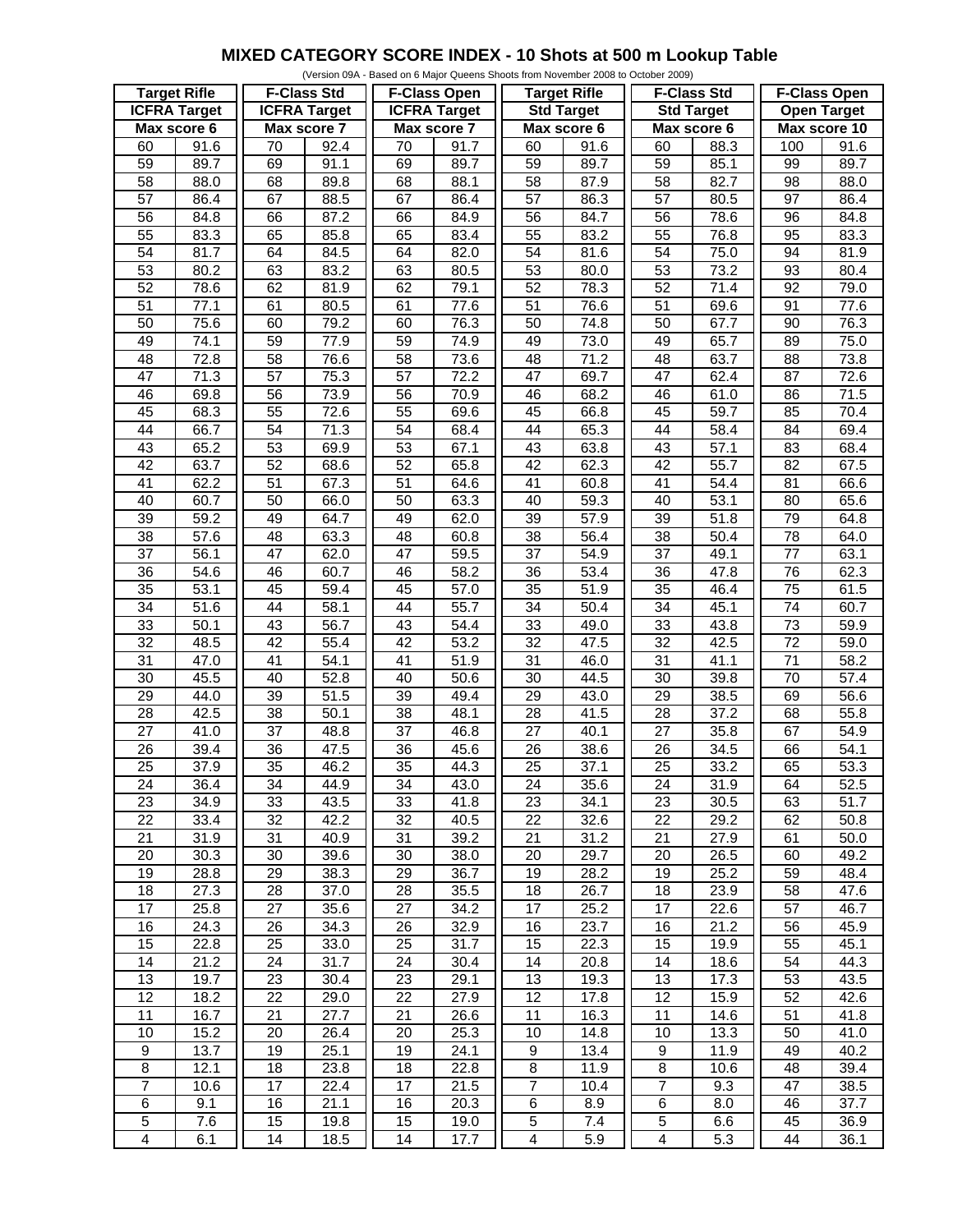## **MIXED CATEGORY SCORE INDEX - 10 Shots at 500 m Lookup Table**

| (Version 09A - Based on 6 Major Queens Shoots from November 2008 to October 2009) |                   |                     |                   |                     |              |                         |                   |                    |      |                     |                    |
|-----------------------------------------------------------------------------------|-------------------|---------------------|-------------------|---------------------|--------------|-------------------------|-------------------|--------------------|------|---------------------|--------------------|
| <b>Target Rifle</b>                                                               |                   | <b>F-Class Std</b>  |                   | <b>F-Class Open</b> |              | <b>Target Rifle</b>     |                   | <b>F-Class Std</b> |      | <b>F-Class Open</b> |                    |
| <b>ICFRA Target</b>                                                               |                   | <b>ICFRA Target</b> |                   | <b>ICFRA Target</b> |              | <b>Std Target</b>       |                   | <b>Std Target</b>  |      | <b>Open Target</b>  |                    |
| Max score 6                                                                       |                   | Max score 7         |                   | Max score 7         |              | Max score 6             |                   | Max score 6        |      | Max score 10        |                    |
| 60                                                                                | 91.6              | 70                  | 92.4              | 70                  | 91.7         | 60                      | 91.6              | 60                 | 88.3 | 100                 | 91.6               |
| 59                                                                                | 89.7              | 69                  | 91.1              | 69                  | 89.7         | 59                      | 89.7              | 59                 | 85.1 | 99                  | 89.7               |
|                                                                                   |                   |                     |                   |                     |              |                         |                   |                    |      |                     |                    |
| 58                                                                                | 88.0              | 68                  | 89.8              | 68                  | 88.1         | 58                      | 87.9              | 58                 | 82.7 | 98                  | 88.0               |
| $\overline{57}$                                                                   | 86.4              | 67                  | 88.5              | 67                  | 86.4         | 57                      | 86.3              | $\overline{57}$    | 80.5 | $\overline{97}$     | 86.4               |
| 56                                                                                | 84.8              | 66                  | 87.2              | 66                  | 84.9         | $\overline{56}$         | 84.7              | 56                 | 78.6 | 96                  | 84.8               |
| 55                                                                                | 83.3              | 65                  | 85.8              | 65                  | 83.4         | 55                      | 83.2              | 55                 | 76.8 | 95                  | 83.3               |
| 54                                                                                | 81.7              | 64                  | 84.5              | 64                  | 82.0         | 54                      | 81.6              | 54                 | 75.0 | 94                  | 81.9               |
| 53                                                                                | 80.2              | 63                  | 83.2              | 63                  | 80.5         | 53                      | 80.0              | 53                 | 73.2 | 93                  | 80.4               |
| 52                                                                                | 78.6              | 62                  | 81.9              | 62                  | 79.1         | 52                      | 78.3              | 52                 | 71.4 | 92                  | 79.0               |
| $\overline{51}$                                                                   | 77.1              | 61                  | 80.5              | 61                  | 77.6         | 51                      | 76.6              | $\overline{51}$    | 69.6 | 91                  | 77.6               |
| 50                                                                                | 75.6              | 60                  | 79.2              | 60                  | 76.3         | 50                      | 74.8              | 50                 | 67.7 | 90                  | 76.3               |
| 49                                                                                | 74.1              | 59                  | 77.9              | 59                  | 74.9         | 49                      | 73.0              | 49                 | 65.7 | 89                  | 75.0               |
| 48                                                                                | 72.8              | 58                  | 76.6              | 58                  | 73.6         | 48                      | 71.2              | 48                 | 63.7 | 88                  | 73.8               |
| $\overline{47}$                                                                   | 71.3              | $\overline{57}$     | 75.3              | 57                  | 72.2         | $\overline{47}$         | 69.7              | 47                 | 62.4 | 87                  | 72.6               |
| 46                                                                                | 69.8              | 56                  | 73.9              | 56                  | 70.9         | 46                      | 68.2              | 46                 | 61.0 | 86                  | 71.5               |
| 45                                                                                | 68.3              | 55                  | 72.6              | 55                  | 69.6         | 45                      | 66.8              | 45                 | 59.7 | 85                  | 70.4               |
| 44                                                                                | 66.7              | 54                  | 71.3              | 54                  | 68.4         | 44                      | 65.3              | 44                 | 58.4 | 84                  | 69.4               |
| 43                                                                                | 65.2              | 53                  | 69.9              | 53                  | 67.1         | 43                      | 63.8              | 43                 | 57.1 | 83                  | 68.4               |
| $\overline{42}$                                                                   | 63.7              | 52                  | 68.6              | 52                  | 65.8         | 42                      | 62.3              | 42                 | 55.7 | $\overline{82}$     | 67.5               |
| $\overline{41}$                                                                   | 62.2              | $\overline{51}$     | 67.3              | $\overline{51}$     | 64.6         | $\overline{41}$         | 60.8              | $\overline{41}$    | 54.4 | 81                  | 66.6               |
| 40                                                                                | 60.7              | 50                  | 66.0              | 50                  | 63.3         | 40                      | 59.3              | 40                 | 53.1 | 80                  | 65.6               |
| 39                                                                                | 59.2              | 49                  | 64.7              | 49                  | 62.0         | 39                      | 57.9              | 39                 | 51.8 | 79                  | 64.8               |
| 38                                                                                | 57.6              | 48                  | 63.3              | 48                  |              | 38                      | 56.4              | 38                 | 50.4 | 78                  |                    |
| $\overline{37}$                                                                   | 56.1              | 47                  | 62.0              | 47                  | 60.8<br>59.5 | $\overline{37}$         | $\overline{54.9}$ | $\overline{37}$    |      | $\overline{77}$     | 64.0<br>63.1       |
|                                                                                   |                   |                     |                   |                     |              |                         |                   |                    | 49.1 |                     |                    |
| $\overline{36}$                                                                   | 54.6              | 46                  | 60.7              | 46                  | 58.2         | $\overline{36}$         | 53.4              | $\overline{36}$    | 47.8 | 76                  | 62.3               |
| 35                                                                                | 53.1              | 45                  | 59.4              | 45                  | 57.0         | 35                      | 51.9              | 35                 | 46.4 | $\overline{75}$     | 61.5               |
| $\overline{34}$                                                                   | $\overline{51.6}$ | $\overline{44}$     | 58.1              | $\overline{44}$     | 55.7         | $\overline{34}$         | 50.4              | $\overline{34}$    | 45.1 | $\overline{74}$     | 60.7               |
| 33                                                                                | 50.1              | 43                  | 56.7              | 43                  | 54.4         | 33                      | 49.0              | 33                 | 43.8 | $\overline{73}$     | 59.9               |
| $\overline{32}$                                                                   | 48.5              | $\overline{42}$     | 55.4              | $\overline{42}$     | 53.2         | $\overline{32}$         | 47.5              | $\overline{32}$    | 42.5 | $\overline{72}$     | 59.0               |
| 31                                                                                | 47.0              | $\overline{41}$     | 54.1              | $\overline{41}$     | 51.9         | 31                      | 46.0              | 31                 | 41.1 | $\overline{71}$     | 58.2               |
| 30                                                                                | 45.5              | 40                  | 52.8              | 40                  | 50.6         | 30                      | 44.5              | 30                 | 39.8 | 70                  | 57.4               |
| $\overline{29}$                                                                   | $\overline{44.0}$ | 39                  | $\overline{51.5}$ | 39                  | 49.4         | 29                      | 43.0              | $\overline{29}$    | 38.5 | 69                  | $\overline{56}$ .6 |
| 28                                                                                | 42.5              | 38                  | 50.1              | 38                  | 48.1         | 28                      | 41.5              | 28                 | 37.2 | 68                  | 55.8               |
| 27                                                                                | 41.0              | $\overline{37}$     | 48.8              | 37                  | 46.8         | $\overline{27}$         | 40.1              | 27                 | 35.8 | 67                  | 54.9               |
| $\overline{26}$                                                                   | 39.4              | $\overline{36}$     | $\overline{47.5}$ | 36                  | 45.6         | $\overline{26}$         | 38.6              | 26                 | 34.5 | 66                  | 54.1               |
| $\overline{25}$                                                                   | 37.9              | 35                  | 46.2              | 35                  | 44.3         | $\overline{25}$         | 37.1              | $\overline{25}$    | 33.2 | 65                  | 53.3               |
| 24                                                                                | 36.4              | 34                  | 44.9              | 34                  | 43.0         | 24                      | 35.6              | 24                 | 31.9 | 64                  | 52.5               |
| 23                                                                                | 34.9              | 33                  | 43.5              | 33                  | 41.8         | 23                      | 34.1              | 23                 | 30.5 | 63                  | 51.7               |
| $\overline{22}$                                                                   | 33.4              | 32                  | $\overline{42.2}$ | 32                  | 40.5         | 22                      | 32.6              | 22                 | 29.2 | 62                  | 50.8               |
| 21                                                                                | 31.9              | 31                  | 40.9              | 31                  | 39.2         | 21                      | 31.2              | 21                 | 27.9 | 61                  | 50.0               |
| 20                                                                                | 30.3              | 30                  | 39.6              | 30                  | 38.0         | 20                      | 29.7              | 20                 | 26.5 | 60                  | 49.2               |
| 19                                                                                | 28.8              | 29                  | 38.3              | 29                  | 36.7         | 19                      | 28.2              | 19                 | 25.2 | 59                  | 48.4               |
| 18                                                                                | 27.3              | 28                  | 37.0              | 28                  | 35.5         | 18                      | 26.7              | 18                 | 23.9 | 58                  | 47.6               |
| 17                                                                                | 25.8              | 27                  | 35.6              | 27                  | 34.2         | 17                      | 25.2              | 17                 | 22.6 | 57                  | 46.7               |
| 16                                                                                | 24.3              | 26                  | 34.3              | 26                  | 32.9         | 16                      | 23.7              | 16                 | 21.2 | 56                  | 45.9               |
| 15                                                                                | 22.8              | 25                  | 33.0              | 25                  | 31.7         | 15                      | 22.3              | 15                 | 19.9 | 55                  | 45.1               |
| 14                                                                                | 21.2              | 24                  | 31.7              | 24                  | 30.4         | 14                      | 20.8              | 14                 | 18.6 | 54                  | 44.3               |
| 13                                                                                | 19.7              | 23                  | 30.4              | 23                  | 29.1         | 13                      | 19.3              | 13                 | 17.3 | 53                  | 43.5               |
| $\overline{12}$                                                                   | 18.2              | $\overline{22}$     | 29.0              | $\overline{22}$     | 27.9         | $\overline{12}$         | 17.8              | $\overline{12}$    | 15.9 | 52                  | 42.6               |
| $\overline{11}$                                                                   | 16.7              | 21                  | 27.7              | 21                  | 26.6         | 11                      | 16.3              | 11                 | 14.6 | 51                  | 41.8               |
| 10                                                                                |                   |                     |                   |                     |              | 10                      |                   | 10                 |      |                     |                    |
|                                                                                   | 15.2              | 20                  | 26.4              | 20                  | 25.3         |                         | 14.8              |                    | 13.3 | 50                  | 41.0               |
| $\boldsymbol{9}$                                                                  | 13.7              | 19                  | 25.1              | 19                  | 24.1         | $\boldsymbol{9}$        | 13.4              | 9                  | 11.9 | 49                  | 40.2               |
| 8                                                                                 | 12.1              | 18                  | 23.8              | 18                  | 22.8         | 8                       | 11.9              | 8                  | 10.6 | 48                  | 39.4               |
| $\overline{7}$                                                                    | 10.6              | $\overline{17}$     | 22.4              | 17                  | 21.5         | $\overline{7}$          | 10.4              | $\overline{7}$     | 9.3  | $\overline{47}$     | 38.5               |
| $\overline{6}$                                                                    | 9.1               | 16                  | 21.1              | 16                  | 20.3         | 6                       | 8.9               | $\,6$              | 8.0  | 46                  | 37.7               |
| 5                                                                                 | 7.6               | 15                  | 19.8              | 15                  | 19.0         | $\mathbf 5$             | 7.4               | $\overline{5}$     | 6.6  | 45                  | 36.9               |
| $\overline{4}$                                                                    | 6.1               | $\overline{14}$     | 18.5              | 14                  | 17.7         | $\overline{\mathbf{4}}$ | 5.9               | $\overline{4}$     | 5.3  | $\overline{44}$     | 36.1               |